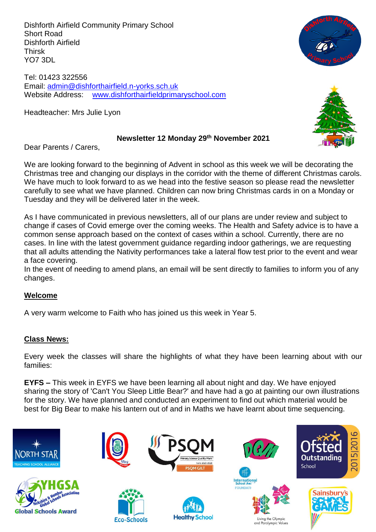Dishforth Airfield Community Primary School Short Road Dishforth Airfield Thirsk YO7 3DL

Tel: 01423 322556 Email: [admin@dishforthairfield.n-yorks.sch.uk](mailto:admin@dishforthairfield.n-yorks.sch.uk) Website Address: [www.dishforthairfieldprimaryschool.com](http://www.dishforthairfieldprimaryschool.com/)

Headteacher: Mrs Julie Lyon





#### **Newsletter 12 Monday 29 th November 2021**

Dear Parents / Carers,

We are looking forward to the beginning of Advent in school as this week we will be decorating the Christmas tree and changing our displays in the corridor with the theme of different Christmas carols. We have much to look forward to as we head into the festive season so please read the newsletter carefully to see what we have planned. Children can now bring Christmas cards in on a Monday or Tuesday and they will be delivered later in the week.

As I have communicated in previous newsletters, all of our plans are under review and subject to change if cases of Covid emerge over the coming weeks. The Health and Safety advice is to have a common sense approach based on the context of cases within a school. Currently, there are no cases. In line with the latest government guidance regarding indoor gatherings, we are requesting that all adults attending the Nativity performances take a lateral flow test prior to the event and wear a face covering.

In the event of needing to amend plans, an email will be sent directly to families to inform you of any changes.

#### **Welcome**

A very warm welcome to Faith who has joined us this week in Year 5.

#### **Class News:**

Every week the classes will share the highlights of what they have been learning about with our families:

**EYFS –** This week in EYFS we have been learning all about night and day. We have enjoyed sharing the story of 'Can't You Sleep Little Bear?' and have had a go at painting our own illustrations for the story. We have planned and conducted an experiment to find out which material would be best for Big Bear to make his lantern out of and in Maths we have learnt about time sequencing.

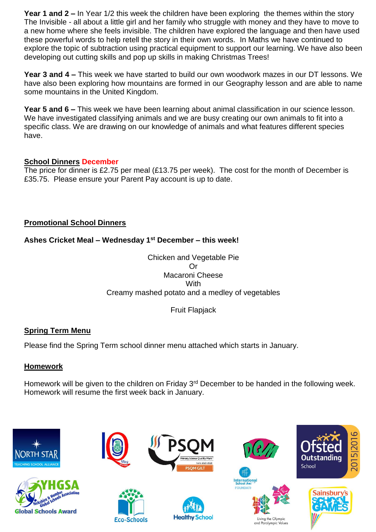**Year 1 and 2 –** In Year 1/2 this week the children have been exploring the themes within the story The Invisible - all about a little girl and her family who struggle with money and they have to move to a new home where she feels invisible. The children have explored the language and then have used these powerful words to help retell the story in their own words. In Maths we have continued to explore the topic of subtraction using practical equipment to support our learning. We have also been developing out cutting skills and pop up skills in making Christmas Trees!

**Year 3 and 4 –** This week we have started to build our own woodwork mazes in our DT lessons. We have also been exploring how mountains are formed in our Geography lesson and are able to name some mountains in the United Kingdom.

**Year 5 and 6 –** This week we have been learning about animal classification in our science lesson. We have investigated classifying animals and we are busy creating our own animals to fit into a specific class. We are drawing on our knowledge of animals and what features different species have.

## **School Dinners December**

The price for dinner is £2.75 per meal (£13.75 per week). The cost for the month of December is £35.75. Please ensure your Parent Pay account is up to date.

## **Promotional School Dinners**

# **Ashes Cricket Meal – Wednesday 1st December – this week!**

Chicken and Vegetable Pie Or Macaroni Cheese **With** Creamy mashed potato and a medley of vegetables

Fruit Flapjack

# **Spring Term Menu**

Please find the Spring Term school dinner menu attached which starts in January.

#### **Homework**

Homework will be given to the children on Friday 3rd December to be handed in the following week. Homework will resume the first week back in January.

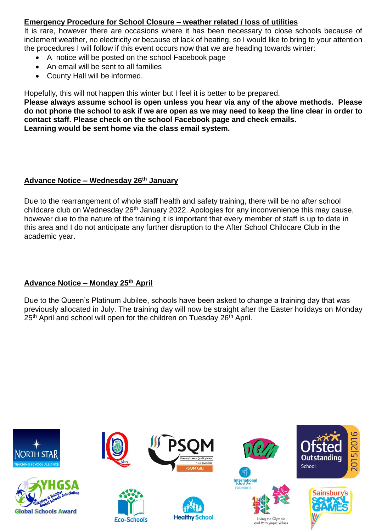# **Emergency Procedure for School Closure – weather related / loss of utilities**

It is rare, however there are occasions where it has been necessary to close schools because of inclement weather, no electricity or because of lack of heating, so I would like to bring to your attention the procedures I will follow if this event occurs now that we are heading towards winter:

- A notice will be posted on the school Facebook page
- An email will be sent to all families
- County Hall will be informed.

Hopefully, this will not happen this winter but I feel it is better to be prepared.

**Please always assume school is open unless you hear via any of the above methods. Please do not phone the school to ask if we are open as we may need to keep the line clear in order to contact staff. Please check on the school Facebook page and check emails. Learning would be sent home via the class email system.**

#### **Advance Notice – Wednesday 26th January**

Due to the rearrangement of whole staff health and safety training, there will be no after school childcare club on Wednesday 26<sup>th</sup> January 2022. Apologies for any inconvenience this may cause, however due to the nature of the training it is important that every member of staff is up to date in this area and I do not anticipate any further disruption to the After School Childcare Club in the academic year.

#### **Advance Notice – Monday 25th April**

Due to the Queen's Platinum Jubilee, schools have been asked to change a training day that was previously allocated in July. The training day will now be straight after the Easter holidays on Monday 25<sup>th</sup> April and school will open for the children on Tuesday 26<sup>th</sup> April.

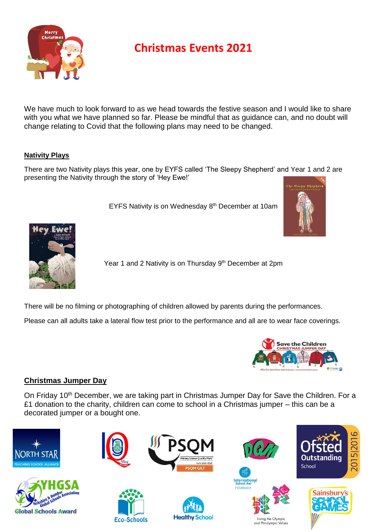

# **Christmas Events 2021**

We have much to look forward to as we head towards the festive season and I would like to share with you what we have planned so far. Please be mindful that as guidance can, and no doubt will change relating to Covid that the following plans may need to be changed.

#### **Nativity Plays**

There are two Nativity plays this year, one by EYFS called 'The Sleepy Shepherd' and Year 1 and 2 are presenting the Nativity through the story of 'Hey Ewe!'

EYFS Nativity is on Wednesday 8th December at 10am





Year 1 and 2 Nativity is on Thursday 9<sup>th</sup> December at 2pm

There will be no filming or photographing of children allowed by parents during the performances.

Please can all adults take a lateral flow test prior to the performance and all are to wear face coverings.



#### **Christmas Jumper Day**

On Friday 10<sup>th</sup> December, we are taking part in Christmas Jumper Day for Save the Children. For a £1 donation to the charity, children can come to school in a Christmas jumper – this can be a decorated jumper or a bought one.

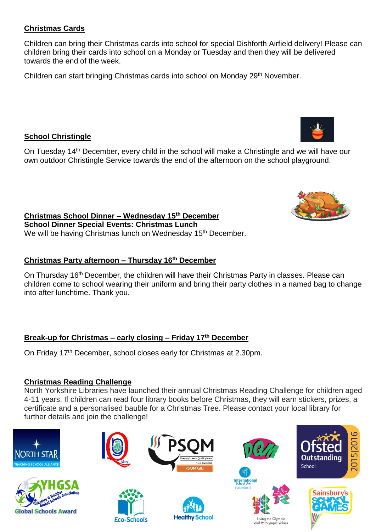## **Christmas Cards**

Children can bring their Christmas cards into school for special Dishforth Airfield delivery! Please can children bring their cards into school on a Monday or Tuesday and then they will be delivered towards the end of the week.

Children can start bringing Christmas cards into school on Monday 29<sup>th</sup> November.

# **School Christingle**

On Tuesday 14th December, every child in the school will make a Christingle and we will have our own outdoor Christingle Service towards the end of the afternoon on the school playground.

**Christmas School Dinner – Wednesday 15 th December School Dinner Special Events: Christmas Lunch**  We will be having Christmas lunch on Wednesday 15<sup>th</sup> December.

#### **Christmas Party afternoon – Thursday 16 th December**

On Thursday 16<sup>th</sup> December, the children will have their Christmas Party in classes. Please can children come to school wearing their uniform and bring their party clothes in a named bag to change into after lunchtime. Thank you.

# **Break-up for Christmas – early closing – Friday 17 th December**

On Friday 17<sup>th</sup> December, school closes early for Christmas at 2.30pm.

#### **Christmas Reading Challenge**

North Yorkshire Libraries have launched their annual Christmas Reading Challenge for children aged 4-11 years. If children can read four library books before Christmas, they will earn stickers, prizes, a certificate and a personalised bauble for a Christmas Tree. Please contact your local library for further details and join the challenge!





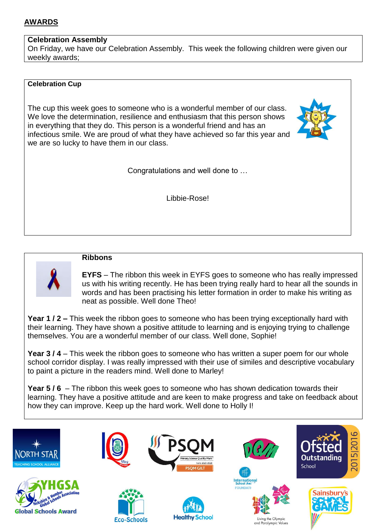# **AWARDS**

#### **Celebration Assembly**

On Friday, we have our Celebration Assembly. This week the following children were given our weekly awards;

#### **Celebration Cup**

The cup this week goes to someone who is a wonderful member of our class. We love the determination, resilience and enthusiasm that this person shows in everything that they do. This person is a wonderful friend and has an infectious smile. We are proud of what they have achieved so far this year and we are so lucky to have them in our class.



Congratulations and well done to …

Libbie-Rose!

**Ribbons**

**EYFS** – The ribbon this week in EYFS goes to someone who has really impressed us with his writing recently. He has been trying really hard to hear all the sounds in words and has been practising his letter formation in order to make his writing as neat as possible. Well done Theo!

**Year 1 / 2 –** This week the ribbon goes to someone who has been trying exceptionally hard with their learning. They have shown a positive attitude to learning and is enjoying trying to challenge themselves. You are a wonderful member of our class. Well done, Sophie!

**Year 3 / 4** – This week the ribbon goes to someone who has written a super poem for our whole school corridor display. I was really impressed with their use of similes and descriptive vocabulary to paint a picture in the readers mind. Well done to Marley!

**Year 5 / 6** – The ribbon this week goes to someone who has shown dedication towards their learning. They have a positive attitude and are keen to make progress and take on feedback about how they can improve. Keep up the hard work. Well done to Holly I!

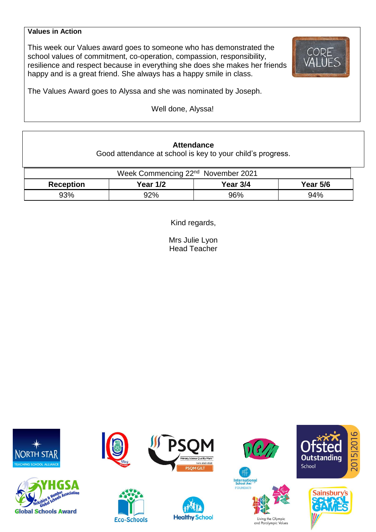#### **Values in Action**

This week our Values award goes to someone who has demonstrated the school values of commitment, co-operation, compassion, responsibility, resilience and respect because in everything she does she makes her friends happy and is a great friend. She always has a happy smile in class.



The Values Award goes to Alyssa and she was nominated by Joseph.

Well done, Alyssa!

#### **Attendance**

Good attendance at school is key to your child's progress.

| Week Commencing 22 <sup>nd</sup> November 2021 |                 |          |            |  |  |  |
|------------------------------------------------|-----------------|----------|------------|--|--|--|
| <b>Reception</b>                               | <b>Year 1/2</b> | Year 3/4 | Year $5/6$ |  |  |  |
| 93%                                            | 92%             | 96%      | 94%        |  |  |  |

Kind regards,

Mrs Julie Lyon Head Teacher